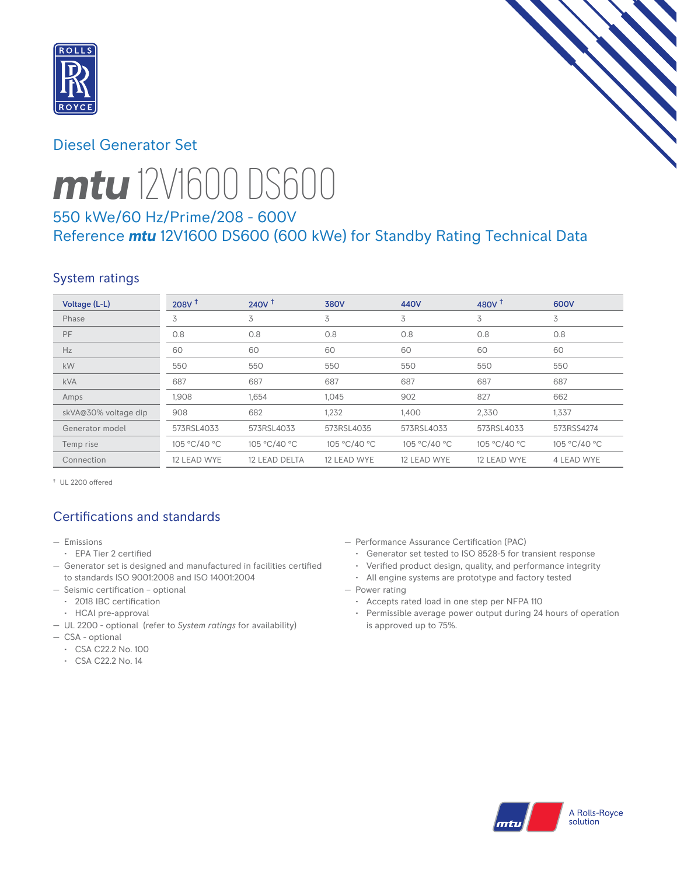

## Diesel Generator Set



# *mtu* 12V1600 DS600

# 550 kWe/60 Hz/Prime/208 - 600V Reference *mtu* 12V1600 DS600 (600 kWe) for Standby Rating Technical Data

# System ratings

| Voltage (L-L)        | 208V <sup>†</sup> | 240V <sup>†</sup> | <b>380V</b>  | 440V         | 480V $†$     | 600V         |
|----------------------|-------------------|-------------------|--------------|--------------|--------------|--------------|
| Phase                | 3                 | 3                 | 3            | 3            | 3            | 3            |
| <b>PF</b>            | 0.8               | 0.8               | 0.8          | 0.8          | 0.8          | 0.8          |
| Hz                   | 60                | 60                | 60           | 60           | 60           | 60           |
| kW                   | 550               | 550               | 550          | 550          | 550          | 550          |
| <b>kVA</b>           | 687               | 687               | 687          | 687          | 687          | 687          |
| Amps                 | 1,908             | 1,654             | 1,045        | 902          | 827          | 662          |
| skVA@30% voltage dip | 908               | 682               | 1,232        | 1,400        | 2,330        | 1,337        |
| Generator model      | 573RSL4033        | 573RSL4033        | 573RSL4035   | 573RSL4033   | 573RSL4033   | 573RSS4274   |
| Temp rise            | 105 °C/40 °C      | 105 °C/40 °C      | 105 °C/40 °C | 105 °C/40 °C | 105 °C/40 °C | 105 °C/40 °C |
| Connection           | 12 LEAD WYE       | 12 LEAD DELTA     | 12 LEAD WYE  | 12 LEAD WYE  | 12 LEAD WYE  | 4 LEAD WYE   |

† UL 2200 offered

# Certifications and standards

- Emissions
	- EPA Tier 2 certified
- Generator set is designed and manufactured in facilities certified to standards ISO 9001:2008 and ISO 14001:2004
- Seismic certification optional
	- 2018 IBC certification
	- HCAI pre-approval
- UL 2200 optional (refer to *System ratings* for availability)
- CSA optional
- CSA C22.2 No. 100
- CSA C22.2 No. 14
- Performance Assurance Certification (PAC)
	- Generator set tested to ISO 8528-5 for transient response
	- Verified product design, quality, and performance integrity
	- All engine systems are prototype and factory tested
- Power rating
	- Accepts rated load in one step per NFPA 110
	- Permissible average power output during 24 hours of operation is approved up to 75%.

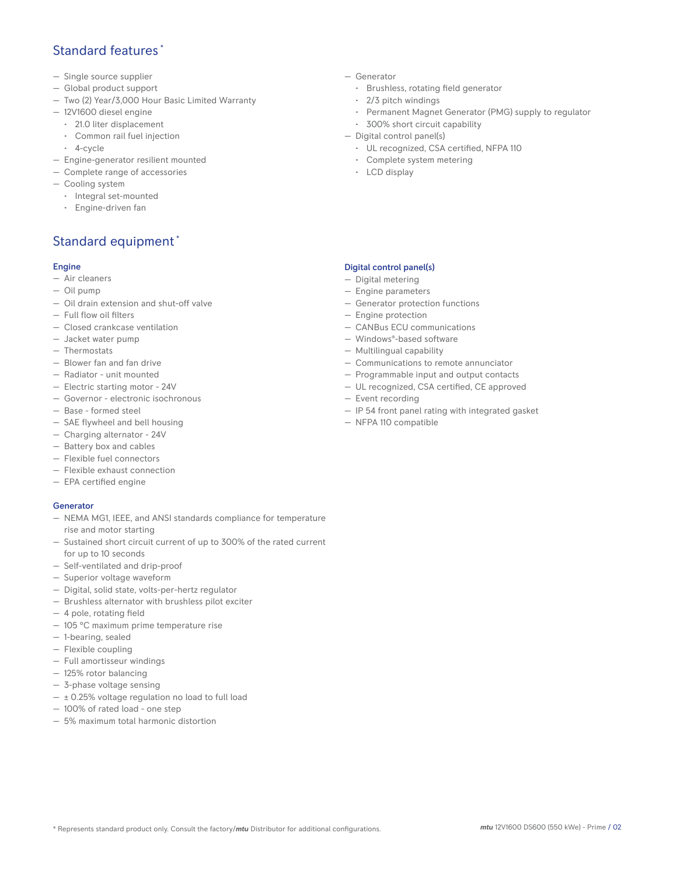## Standard features \*

- Single source supplier
- Global product support
- Two (2) Year/3,000 Hour Basic Limited Warranty
- 12V1600 diesel engine
	- 21.0 liter displacement
	- Common rail fuel injection
	- 4-cycle
- Engine-generator resilient mounted
- Complete range of accessories
- Cooling system
- Integral set-mounted
	- Engine-driven fan

# Standard equipment \*

#### Engine

- Air cleaners
- Oil pump
- Oil drain extension and shut-off valve
- Full flow oil filters
- Closed crankcase ventilation
- Jacket water pump
- Thermostats
- Blower fan and fan drive
- Radiator unit mounted
- Electric starting motor 24V
- Governor electronic isochronous
- Base formed steel
- SAE flywheel and bell housing
- Charging alternator 24V
- Battery box and cables
- Flexible fuel connectors
- Flexible exhaust connection
- EPA certified engine

#### **Generator**

- NEMA MG1, IEEE, and ANSI standards compliance for temperature rise and motor starting
- Sustained short circuit current of up to 300% of the rated current for up to 10 seconds
- Self-ventilated and drip-proof
- Superior voltage waveform
- Digital, solid state, volts-per-hertz regulator
- Brushless alternator with brushless pilot exciter
- 4 pole, rotating field
- 105 °C maximum prime temperature rise
- 1-bearing, sealed
- Flexible coupling
- Full amortisseur windings
- 125% rotor balancing
- 3-phase voltage sensing
- $\pm$  0.25% voltage regulation no load to full load
- 100% of rated load one step
- 5% maximum total harmonic distortion
- Generator
	- Brushless, rotating field generator
	- 2/3 pitch windings
	- Permanent Magnet Generator (PMG) supply to regulator
- 300% short circuit capability
- Digital control panel(s)
	- UL recognized, CSA certified, NFPA 110
	- Complete system metering
	- LCD display

### Digital control panel(s)

- Digital metering
- Engine parameters
- Generator protection functions
- Engine protection
- CANBus ECU communications
- Windows®-based software
- Multilingual capability
- Communications to remote annunciator
- Programmable input and output contacts
- UL recognized, CSA certified, CE approved
- Event recording
- IP 54 front panel rating with integrated gasket
- NFPA 110 compatible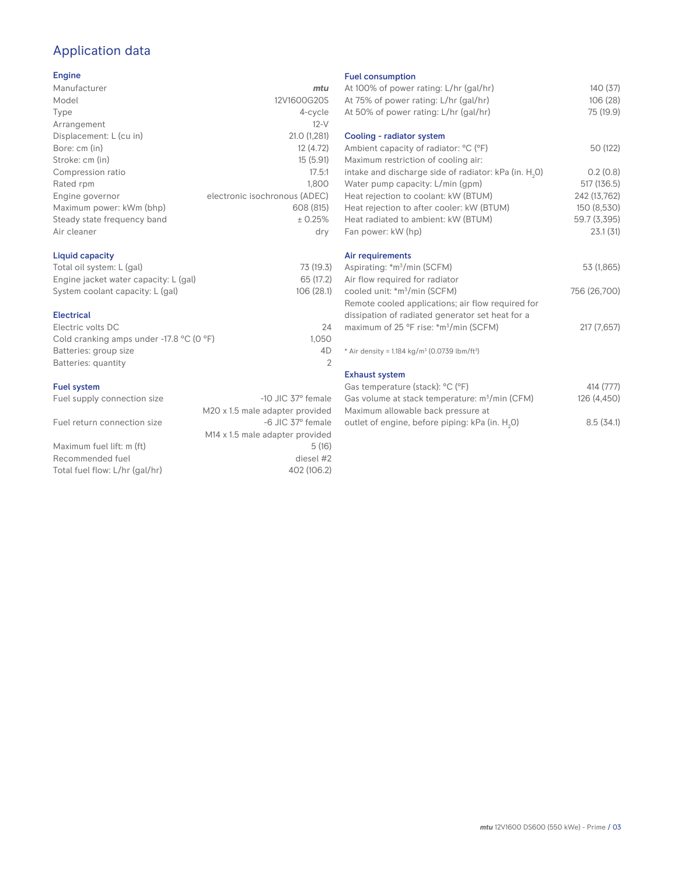# Application data

#### Engine

| Manufacturer                | mtu                           |
|-----------------------------|-------------------------------|
| Model                       | 12V1600G20S                   |
| Type                        | 4-cycle                       |
| Arrangement                 | $12-V$                        |
| Displacement: L (cu in)     | 21.0 (1,281)                  |
| Bore: cm (in)               | 12 (4.72)                     |
| Stroke: cm (in)             | 15(5.91)                      |
| Compression ratio           | 17.5:1                        |
| Rated rpm                   | 1.800                         |
| Engine governor             | electronic isochronous (ADEC) |
| Maximum power: kWm (bhp)    | 608 (815)                     |
| Steady state frequency band | ± 0.25%                       |
| Air cleaner                 | dry                           |
|                             |                               |

## Liquid capacity

| Total oil system: L (gal)             | 73 (19.3)  |
|---------------------------------------|------------|
| Engine jacket water capacity: L (gal) | 65 (17.2)  |
| System coolant capacity: L (gal)      | 106 (28.1) |

#### Electrical

| Electric volts DC                                            | 24    |
|--------------------------------------------------------------|-------|
| Cold cranking amps under -17.8 $^{\circ}$ C (O $^{\circ}$ F) | 1.050 |
| Batteries: group size                                        | 4D    |
| Batteries: quantity                                          |       |
|                                                              |       |

#### Fuel system

| Fuel supply connection size    | $-10$ JIC 37 $\degree$ female               |
|--------------------------------|---------------------------------------------|
|                                | M20 x 1.5 male adapter provided             |
| Fuel return connection size    | -6 JIC 37° female                           |
|                                | M <sub>14</sub> x 1.5 male adapter provided |
| Maximum fuel lift: m (ft)      | 5(16)                                       |
| Recommended fuel               | diesel #2                                   |
| Total fuel flow: L/hr (gal/hr) | 402 (106.2)                                 |
|                                |                                             |

#### Fuel consumption

|                      | <b>I UCL CONSUMPTION</b>                                             |              |
|----------------------|----------------------------------------------------------------------|--------------|
| ū                    | At 100% of power rating: L/hr (gal/hr)                               | 140 (37)     |
| S                    | At 75% of power rating: L/hr (gal/hr)                                | 106 (28)     |
| e                    | At 50% of power rating: L/hr (gal/hr)                                | 75 (19.9)    |
| V                    |                                                                      |              |
| 1)                   | Cooling - radiator system                                            |              |
| 2)                   | Ambient capacity of radiator: °C (°F)                                | 50 (122)     |
| 1)                   | Maximum restriction of cooling air:                                  |              |
| :1                   | intake and discharge side of radiator: kPa (in. H <sub>2</sub> 0)    | 0.2(0.8)     |
| 0                    | Water pump capacity: L/min (gpm)                                     | 517 (136.5)  |
| C)                   | Heat rejection to coolant: kW (BTUM)                                 | 242 (13,762) |
| 5)                   | Heat rejection to after cooler: kW (BTUM)                            | 150 (8,530)  |
| ℅                    | Heat radiated to ambient: kW (BTUM)                                  | 59.7 (3,395) |
| .<br>V               | Fan power: kW (hp)                                                   | 23.1 (31)    |
|                      | Air requirements                                                     |              |
| .3)                  | Aspirating: *m <sup>3</sup> /min (SCFM)                              | 53 (1,865)   |
| .2)                  | Air flow required for radiator                                       |              |
| I.1)                 | cooled unit: *m <sup>3</sup> /min (SCFM)                             | 756 (26,700) |
|                      | Remote cooled applications; air flow required for                    |              |
|                      | dissipation of radiated generator set heat for a                     |              |
| 24                   | maximum of 25 °F rise: *m <sup>3</sup> /min (SCFM)                   | 217 (7,657)  |
| 50                   |                                                                      |              |
| ŀD<br>$\overline{2}$ | * Air density = $1.184 \text{ kg/m}^3$ (0.0739 lbm/ft <sup>3</sup> ) |              |
|                      | <b>Exhaust system</b>                                                |              |
|                      | Gas temperature (stack): °C (°F)                                     | 414 (777)    |
| ıle                  | Gas volume at stack temperature: $m^3/m$ in (CFM)                    | 126 (4,450)  |
| эd                   | Maximum allowable back pressure at                                   |              |

outlet of engine, before piping: kPa (in.  $H_2O$ )

0) 8.5 (34.1)